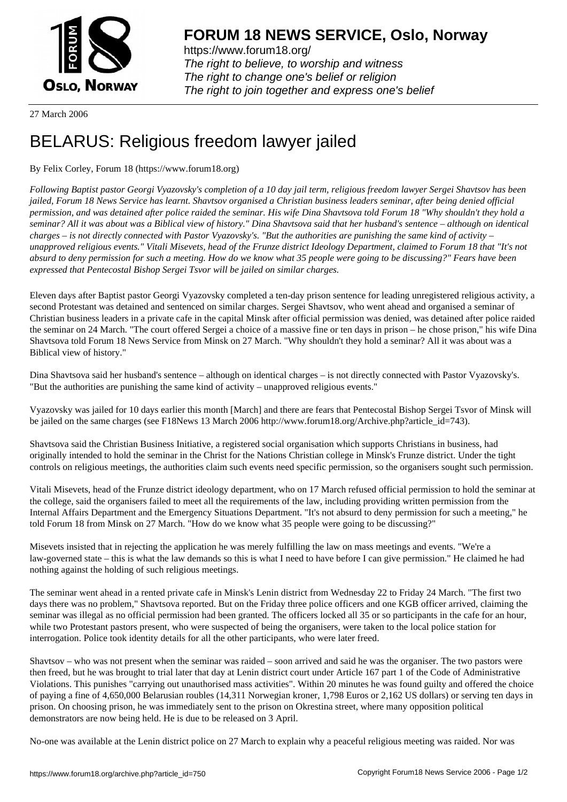

https://www.forum18.org/ The right to believe, to worship and witness The right to change one's belief or religion [The right to join together a](https://www.forum18.org/)nd express one's belief

27 March 2006

## [BELARUS: Reli](https://www.forum18.org)gious freedom lawyer jailed

## By Felix Corley, Forum 18 (https://www.forum18.org)

*Following Baptist pastor Georgi Vyazovsky's completion of a 10 day jail term, religious freedom lawyer Sergei Shavtsov has been jailed, Forum 18 News Service has learnt. Shavtsov organised a Christian business leaders seminar, after being denied official permission, and was detained after police raided the seminar. His wife Dina Shavtsova told Forum 18 "Why shouldn't they hold a seminar? All it was about was a Biblical view of history." Dina Shavtsova said that her husband's sentence – although on identical charges – is not directly connected with Pastor Vyazovsky's. "But the authorities are punishing the same kind of activity – unapproved religious events." Vitali Misevets, head of the Frunze district Ideology Department, claimed to Forum 18 that "It's not absurd to deny permission for such a meeting. How do we know what 35 people were going to be discussing?" Fears have been expressed that Pentecostal Bishop Sergei Tsvor will be jailed on similar charges.*

Eleven days after Baptist pastor Georgi Vyazovsky completed a ten-day prison sentence for leading unregistered religious activity, a second Protestant was detained and sentenced on similar charges. Sergei Shavtsov, who went ahead and organised a seminar of Christian business leaders in a private cafe in the capital Minsk after official permission was denied, was detained after police raided the seminar on 24 March. "The court offered Sergei a choice of a massive fine or ten days in prison – he chose prison," his wife Dina Shavtsova told Forum 18 News Service from Minsk on 27 March. "Why shouldn't they hold a seminar? All it was about was a Biblical view of history."

Dina Shavtsova said her husband's sentence – although on identical charges – is not directly connected with Pastor Vyazovsky's. "But the authorities are punishing the same kind of activity – unapproved religious events."

Vyazovsky was jailed for 10 days earlier this month [March] and there are fears that Pentecostal Bishop Sergei Tsvor of Minsk will be jailed on the same charges (see F18News 13 March 2006 http://www.forum18.org/Archive.php?article\_id=743).

Shavtsova said the Christian Business Initiative, a registered social organisation which supports Christians in business, had originally intended to hold the seminar in the Christ for the Nations Christian college in Minsk's Frunze district. Under the tight controls on religious meetings, the authorities claim such events need specific permission, so the organisers sought such permission.

Vitali Misevets, head of the Frunze district ideology department, who on 17 March refused official permission to hold the seminar at the college, said the organisers failed to meet all the requirements of the law, including providing written permission from the Internal Affairs Department and the Emergency Situations Department. "It's not absurd to deny permission for such a meeting," he told Forum 18 from Minsk on 27 March. "How do we know what 35 people were going to be discussing?"

Misevets insisted that in rejecting the application he was merely fulfilling the law on mass meetings and events. "We're a law-governed state – this is what the law demands so this is what I need to have before I can give permission." He claimed he had nothing against the holding of such religious meetings.

The seminar went ahead in a rented private cafe in Minsk's Lenin district from Wednesday 22 to Friday 24 March. "The first two days there was no problem," Shavtsova reported. But on the Friday three police officers and one KGB officer arrived, claiming the seminar was illegal as no official permission had been granted. The officers locked all 35 or so participants in the cafe for an hour, while two Protestant pastors present, who were suspected of being the organisers, were taken to the local police station for interrogation. Police took identity details for all the other participants, who were later freed.

Shavtsov – who was not present when the seminar was raided – soon arrived and said he was the organiser. The two pastors were then freed, but he was brought to trial later that day at Lenin district court under Article 167 part 1 of the Code of Administrative Violations. This punishes "carrying out unauthorised mass activities". Within 20 minutes he was found guilty and offered the choice of paying a fine of 4,650,000 Belarusian roubles (14,311 Norwegian kroner, 1,798 Euros or 2,162 US dollars) or serving ten days in prison. On choosing prison, he was immediately sent to the prison on Okrestina street, where many opposition political demonstrators are now being held. He is due to be released on 3 April.

No-one was available at the Lenin district police on 27 March to explain why a peaceful religious meeting was raided. Nor was